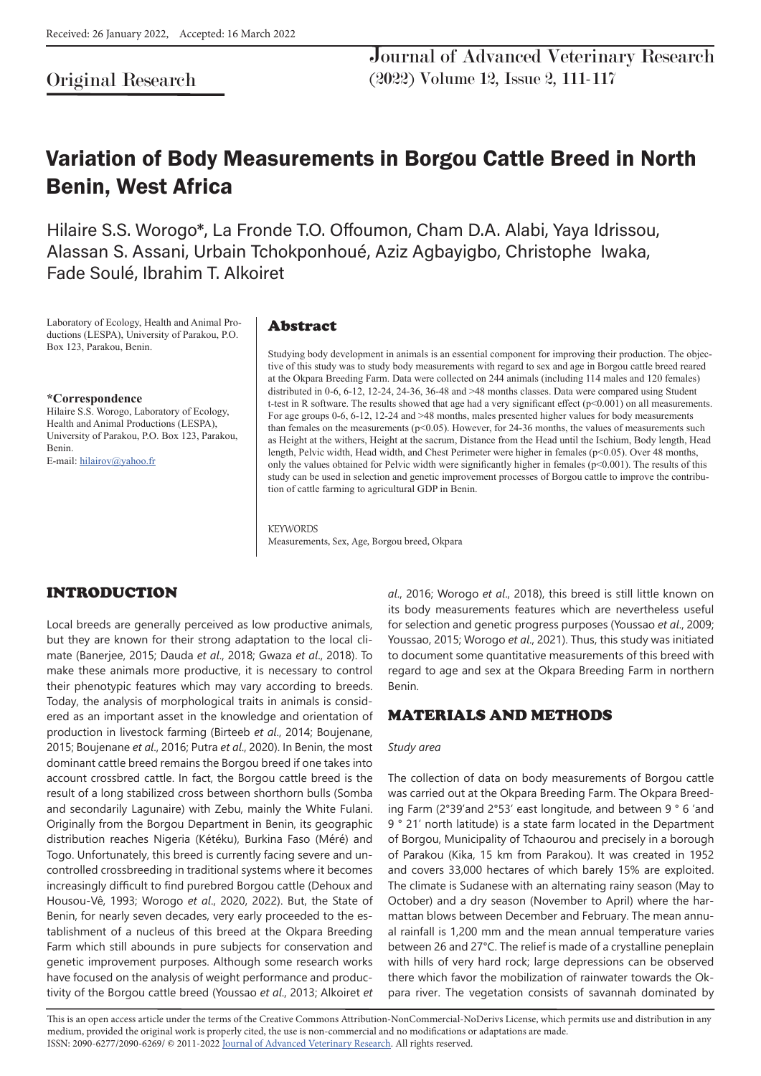# Original Research

Journal of Advanced Veterinary Research (2022) Volume 12, Issue 2, 111-117

# Variation of Body Measurements in Borgou Cattle Breed in North Benin, West Africa

Hilaire S.S. Worogo\*, La Fronde T.O. Offoumon, Cham D.A. Alabi, Yaya Idrissou, Alassan S. Assani, Urbain Tchokponhoué, Aziz Agbayigbo, Christophe Iwaka, Fade Soulé, Ibrahim T. Alkoiret

Laboratory of Ecology, Health and Animal Productions (LESPA), University of Parakou, P.O. Box 123, Parakou, Benin.

**\*Correspondence** Hilaire S.S. Worogo, Laboratory of Ecology, Health and Animal Productions (LESPA), University of Parakou, P.O. Box 123, Parakou, Benin. E-mail: hilairov@yahoo.fr

#### Abstract

Studying body development in animals is an essential component for improving their production. The objective of this study was to study body measurements with regard to sex and age in Borgou cattle breed reared at the Okpara Breeding Farm. Data were collected on 244 animals (including 114 males and 120 females) distributed in 0-6, 6-12, 12-24, 24-36, 36-48 and >48 months classes. Data were compared using Student t-test in R software. The results showed that age had a very significant effect (p<0.001) on all measurements. For age groups 0-6, 6-12, 12-24 and >48 months, males presented higher values for body measurements than females on the measurements (p<0.05). However, for 24-36 months, the values of measurements such as Height at the withers, Height at the sacrum, Distance from the Head until the Ischium, Body length, Head length, Pelvic width, Head width, and Chest Perimeter were higher in females (p<0.05). Over 48 months, only the values obtained for Pelvic width were significantly higher in females (p<0.001). The results of this study can be used in selection and genetic improvement processes of Borgou cattle to improve the contribution of cattle farming to agricultural GDP in Benin.

**KEYWORDS** Measurements, Sex, Age, Borgou breed, Okpara

# INTRODUCTION

Local breeds are generally perceived as low productive animals, but they are known for their strong adaptation to the local climate (Banerjee, 2015; Dauda *et al*., 2018; Gwaza *et al*., 2018). To make these animals more productive, it is necessary to control their phenotypic features which may vary according to breeds. Today, the analysis of morphological traits in animals is considered as an important asset in the knowledge and orientation of production in livestock farming (Birteeb *et al*., 2014; Boujenane, 2015; Boujenane *et al*., 2016; Putra *et al*., 2020). In Benin, the most dominant cattle breed remains the Borgou breed if one takes into account crossbred cattle. In fact, the Borgou cattle breed is the result of a long stabilized cross between shorthorn bulls (Somba and secondarily Lagunaire) with Zebu, mainly the White Fulani. Originally from the Borgou Department in Benin, its geographic distribution reaches Nigeria (Kétéku), Burkina Faso (Méré) and Togo. Unfortunately, this breed is currently facing severe and uncontrolled crossbreeding in traditional systems where it becomes increasingly difficult to find purebred Borgou cattle (Dehoux and Housou-Vê, 1993; Worogo *et al*., 2020, 2022). But, the State of Benin, for nearly seven decades, very early proceeded to the establishment of a nucleus of this breed at the Okpara Breeding Farm which still abounds in pure subjects for conservation and genetic improvement purposes. Although some research works have focused on the analysis of weight performance and productivity of the Borgou cattle breed (Youssao *et al*., 2013; Alkoiret *et* 

*al*., 2016; Worogo *et al*., 2018), this breed is still little known on its body measurements features which are nevertheless useful for selection and genetic progress purposes (Youssao *et al*., 2009; Youssao, 2015; Worogo *et al*., 2021). Thus, this study was initiated to document some quantitative measurements of this breed with regard to age and sex at the Okpara Breeding Farm in northern Benin.

### MATERIALS AND METHODS

#### *Study area*

The collection of data on body measurements of Borgou cattle was carried out at the Okpara Breeding Farm. The Okpara Breeding Farm (2°39'and 2°53' east longitude, and between 9 ° 6 'and 9 ° 21' north latitude) is a state farm located in the Department of Borgou, Municipality of Tchaourou and precisely in a borough of Parakou (Kika, 15 km from Parakou). It was created in 1952 and covers 33,000 hectares of which barely 15% are exploited. The climate is Sudanese with an alternating rainy season (May to October) and a dry season (November to April) where the harmattan blows between December and February. The mean annual rainfall is 1,200 mm and the mean annual temperature varies between 26 and 27°C. The relief is made of a crystalline peneplain with hills of very hard rock; large depressions can be observed there which favor the mobilization of rainwater towards the Okpara river. The vegetation consists of savannah dominated by

This is an open access article under the terms of the Creative Commons Attribution-NonCommercial-NoDerivs License, which permits use and distribution in any medium, provided the original work is properly cited, the use is non-commercial and no modifications or adaptations are made. ISSN: 2090-6277/2090-6269/ © 2011-2022 Journal of Advanced Veterinary Research. All rights reserved.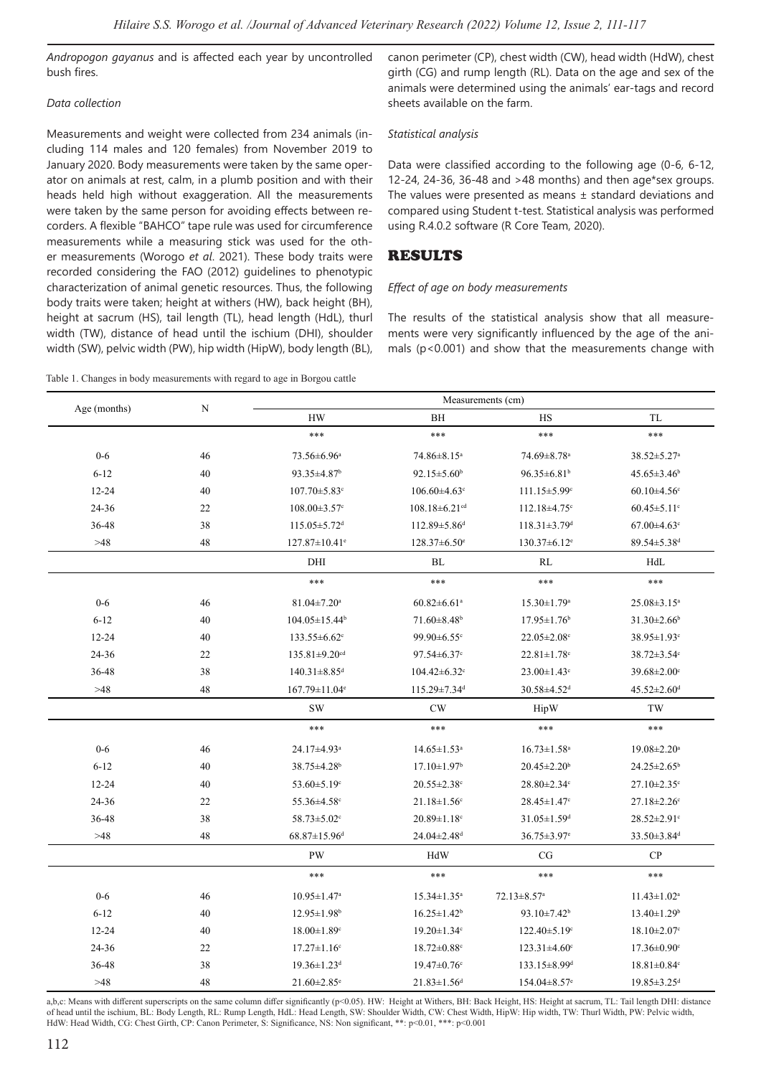*Andropogon gayanus* and is affected each year by uncontrolled bush fires.

#### *Data collection*

Measurements and weight were collected from 234 animals (including 114 males and 120 females) from November 2019 to January 2020. Body measurements were taken by the same operator on animals at rest, calm, in a plumb position and with their heads held high without exaggeration. All the measurements were taken by the same person for avoiding effects between recorders. A flexible "BAHCO" tape rule was used for circumference measurements while a measuring stick was used for the other measurements (Worogo *et al*. 2021). These body traits were recorded considering the FAO (2012) guidelines to phenotypic characterization of animal genetic resources. Thus, the following body traits were taken; height at withers (HW), back height (BH), height at sacrum (HS), tail length (TL), head length (HdL), thurl width (TW), distance of head until the ischium (DHI), shoulder width (SW), pelvic width (PW), hip width (HipW), body length (BL),

Table 1. Changes in body measurements with regard to age in Borgou cattle

canon perimeter (CP), chest width (CW), head width (HdW), chest girth (CG) and rump length (RL). Data on the age and sex of the animals were determined using the animals' ear-tags and record sheets available on the farm.

#### *Statistical analysis*

Data were classified according to the following age (0-6, 6-12, 12-24, 24-36, 36-48 and >48 months) and then age\*sex groups. The values were presented as means  $\pm$  standard deviations and compared using Student t-test. Statistical analysis was performed using R.4.0.2 software (R Core Team, 2020).

## RESULTS

#### *Effect of age on body measurements*

The results of the statistical analysis show that all measurements were very significantly influenced by the age of the animals ( $p$ <0.001) and show that the measurements change with

| Age (months) | N  | Measurements (cm)               |                                 |                                |                               |
|--------------|----|---------------------------------|---------------------------------|--------------------------------|-------------------------------|
|              |    | HW                              | BH                              | HS                             | TL                            |
|              |    | ***                             | $***$                           | $***$                          | $***$                         |
| $0-6$        | 46 | 73.56±6.96 <sup>a</sup>         | 74.86±8.15 <sup>a</sup>         | 74.69±8.78 <sup>a</sup>        | 38.52±5.27 <sup>a</sup>       |
| $6 - 12$     | 40 | 93.35±4.87 <sup>b</sup>         | $92.15 \pm 5.60^b$              | $96.35 \pm 6.81$ <sup>b</sup>  | $45.65 \pm 3.46^b$            |
| $12 - 24$    | 40 | $107.70 \pm 5.83$ <sup>c</sup>  | $106.60\pm4.63$ <sup>c</sup>    | $111.15 \pm 5.99$ <sup>c</sup> | $60.10 \pm 4.56$ <sup>c</sup> |
| 24-36        | 22 | $108.00 \pm 3.57$ <sup>c</sup>  | $108.18 \pm 6.21$ <sup>cd</sup> | $112.18 \pm 4.75$ °            | $60.45 \pm 5.11$ <sup>c</sup> |
| 36-48        | 38 | $115.05 \pm 5.72$ <sup>d</sup>  | $112.89 \pm 5.86$ <sup>d</sup>  | $118.31 \pm 3.79$ <sup>d</sup> | $67.00 \pm 4.63$ <sup>c</sup> |
| >48          | 48 | $127.87 \pm 10.41$ <sup>e</sup> | $128.37 \pm 6.50$ <sup>e</sup>  | $130.37 \pm 6.12$ <sup>e</sup> | 89.54±5.38 <sup>d</sup>       |
|              |    | DHI                             | BL                              | RL                             | HdL                           |
|              |    | ***                             | $***$                           | $***$                          | $***$                         |
| $0-6$        | 46 | $81.04 \pm 7.20$ <sup>a</sup>   | $60.82 \pm 6.61$ <sup>a</sup>   | $15.30 \pm 1.79$ <sup>a</sup>  | $25.08 \pm 3.15^a$            |
| $6 - 12$     | 40 | $104.05 \pm 15.44$ <sup>b</sup> | $71.60 \pm 8.48$ <sup>b</sup>   | $17.95 \pm 1.76$ <sup>b</sup>  | $31.30 \pm 2.66$ <sup>b</sup> |
| $12 - 24$    | 40 | $133.55 \pm 6.62$ <sup>c</sup>  | 99.90±6.55°                     | $22.05 \pm 2.08$ <sup>c</sup>  | 38.95±1.93 <sup>c</sup>       |
| 24-36        | 22 | $135.81 \pm 9.20$ <sup>cd</sup> | $97.54 \pm 6.37$ °              | $22.81 \pm 1.78$ °             | $38.72 \pm 3.54$ °            |
| 36-48        | 38 | $140.31 \pm 8.85$ <sup>d</sup>  | $104.42 \pm 6.32$ <sup>c</sup>  | $23.00 \pm 1.43$ <sup>c</sup>  | $39.68 \pm 2.00$ <sup>c</sup> |
| >48          | 48 | 167.79±11.04 <sup>e</sup>       | 115.29±7.34 <sup>d</sup>        | 30.58±4.52 <sup>d</sup>        | $45.52 \pm 2.60$ <sup>d</sup> |
|              |    | <b>SW</b>                       | CW                              | HipW                           | TW                            |
|              |    | ***                             | $***$                           | $***$                          | $***$                         |
| $0 - 6$      | 46 | 24.17±4.93 <sup>a</sup>         | $14.65 \pm 1.53$ <sup>a</sup>   | $16.73 \pm 1.58$ <sup>a</sup>  | $19.08 \pm 2.20$ <sup>a</sup> |
| $6 - 12$     | 40 | 38.75±4.28 <sup>b</sup>         | $17.10 \pm 1.97$ <sup>b</sup>   | $20.45 \pm 2.20^b$             | $24.25 \pm 2.65^b$            |
| $12 - 24$    | 40 | 53.60 $\pm$ 5.19 $\text{°}$     | $20.55 \pm 2.38$ <sup>c</sup>   | 28.80±2.34°                    | $27.10 \pm 2.35$ <sup>c</sup> |
| 24-36        | 22 | 55.36±4.58°                     | $21.18 \pm 1.56$ <sup>c</sup>   | $28.45 \pm 1.47$ °             | $27.18 \pm 2.26$ <sup>c</sup> |
| 36-48        | 38 | 58.73 $\pm$ 5.02 $\degree$      | $20.89 \pm 1.18$ <sup>c</sup>   | $31.05 \pm 1.59$ <sup>d</sup>  | $28.52 \pm 2.91$ <sup>c</sup> |
| >48          | 48 | $68.87 \pm 15.96$ <sup>d</sup>  | 24.04±2.48 <sup>d</sup>         | 36.75±3.97 <sup>e</sup>        | 33.50±3.84 <sup>d</sup>       |
|              |    | <b>PW</b>                       | HdW                             | CG                             | CP                            |
|              |    | ***                             | $***$                           | $***$                          | $***$                         |
| $0 - 6$      | 46 | $10.95 \pm 1.47$ <sup>a</sup>   | $15.34 \pm 1.35^{\text{a}}$     | $72.13 \pm 8.57$ <sup>a</sup>  | $11.43 \pm 1.02^a$            |
| $6 - 12$     | 40 | $12.95 \pm 1.98$ <sup>b</sup>   | $16.25 \pm 1.42^b$              | $93.10 \pm 7.42$ <sup>b</sup>  | $13.40 \pm 1.29$ <sup>b</sup> |
| $12 - 24$    | 40 | $18.00 \pm 1.89$ <sup>c</sup>   | $19.20 \pm 1.34$ <sup>c</sup>   | $122.40 \pm 5.19$ <sup>c</sup> | $18.10 \pm 2.07$ <sup>c</sup> |
| 24-36        | 22 | $17.27 \pm 1.16$ <sup>c</sup>   | $18.72 \pm 0.88$ <sup>c</sup>   | $123.31 \pm 4.60$ <sup>c</sup> | $17.36 \pm 0.90$ <sup>c</sup> |
| 36-48        | 38 | $19.36 \pm 1.23$ <sup>d</sup>   | $19.47 \pm 0.76$ <sup>c</sup>   | $133.15 \pm 8.99$ <sup>d</sup> | $18.81 \pm 0.84$ c            |
| >48          | 48 | $21.60 \pm 2.85$ <sup>e</sup>   | $21.83 \pm 1.56$ <sup>d</sup>   | $154.04 \pm 8.57$ <sup>e</sup> | $19.85 \pm 3.25$ <sup>d</sup> |

a,b,c: Means with different superscripts on the same column differ significantly (p<0.05). HW: Height at Withers, BH: Back Height, HS: Height at sacrum, TL: Tail length DHI: distance of head until the ischium, BL: Body Length, RL: Rump Length, HdL: Head Length, SW: Shoulder Width, CW: Chest Width, HipW: Hip width, TW: Thurl Width, PW: Pelvic width, HdW: Head Width, CG: Chest Girth, CP: Canon Perimeter, S: Significance, NS: Non significant, \*\*: p<0.01, \*\*\*: p<0.001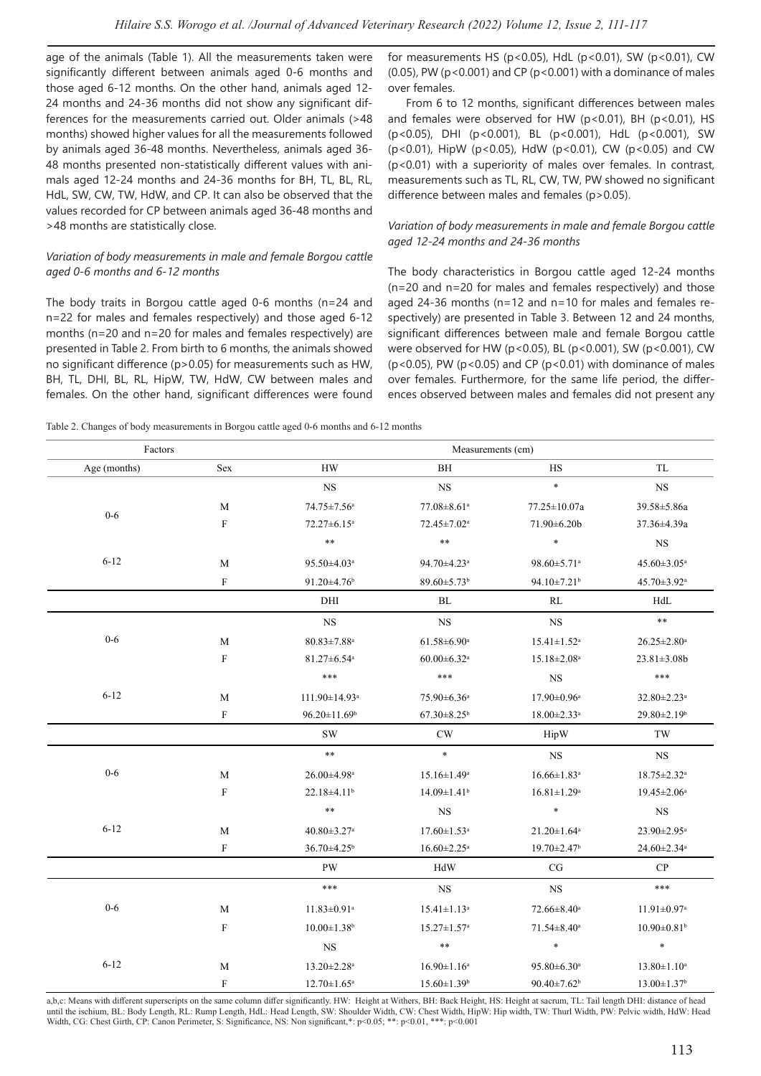age of the animals (Table 1). All the measurements taken were significantly different between animals aged 0-6 months and those aged 6-12 months. On the other hand, animals aged 12- 24 months and 24-36 months did not show any significant differences for the measurements carried out. Older animals (>48 months) showed higher values for all the measurements followed by animals aged 36-48 months. Nevertheless, animals aged 36- 48 months presented non-statistically different values with animals aged 12-24 months and 24-36 months for BH, TL, BL, RL, HdL, SW, CW, TW, HdW, and CP. It can also be observed that the values recorded for CP between animals aged 36-48 months and >48 months are statistically close.

#### *Variation of body measurements in male and female Borgou cattle aged 0-6 months and 6-12 months*

The body traits in Borgou cattle aged 0-6 months (n=24 and n=22 for males and females respectively) and those aged 6-12 months (n=20 and n=20 for males and females respectively) are presented in Table 2. From birth to 6 months, the animals showed no significant difference (p>0.05) for measurements such as HW, BH, TL, DHI, BL, RL, HipW, TW, HdW, CW between males and females. On the other hand, significant differences were found for measurements HS (p<0.05), HdL (p<0.01), SW (p<0.01), CW (0.05), PW ( $p < 0.001$ ) and CP ( $p < 0.001$ ) with a dominance of males over females.

From 6 to 12 months, significant differences between males and females were observed for HW ( $p$ <0.01), BH ( $p$ <0.01), HS (p<0.05), DHI (p<0.001), BL (p<0.001), HdL (p<0.001), SW (p<0.01), HipW (p<0.05), HdW (p<0.01), CW (p<0.05) and CW (p<0.01) with a superiority of males over females. In contrast, measurements such as TL, RL, CW, TW, PW showed no significant difference between males and females (p>0.05).

#### *Variation of body measurements in male and female Borgou cattle aged 12-24 months and 24-36 months*

The body characteristics in Borgou cattle aged 12-24 months (n=20 and n=20 for males and females respectively) and those aged 24-36 months (n=12 and n=10 for males and females respectively) are presented in Table 3. Between 12 and 24 months, significant differences between male and female Borgou cattle were observed for HW (p<0.05), BL (p<0.001), SW (p<0.001), CW ( $p$ <0.05), PW ( $p$ <0.05) and CP ( $p$ <0.01) with dominance of males over females. Furthermore, for the same life period, the differences observed between males and females did not present any

Table 2. Changes of body measurements in Borgou cattle aged 0-6 months and 6-12 months

| Factors      |                           | Measurements (cm)              |                               |                               |                               |  |
|--------------|---------------------------|--------------------------------|-------------------------------|-------------------------------|-------------------------------|--|
| Age (months) | Sex                       | ${\rm HW}$                     | BH                            | HS                            | TL                            |  |
|              |                           | $_{\rm NS}$                    | <b>NS</b>                     | $\ast$                        | $_{\rm NS}$                   |  |
| $0 - 6$      | $\mathbf M$               | 74.75±7.56 <sup>a</sup>        | 77.08±8.61ª                   | 77.25±10.07a                  | 39.58±5.86a                   |  |
|              | ${\rm F}$                 | $72.27 \pm 6.15^a$             | 72.45±7.02 <sup>a</sup>       | 71.90±6.20b                   | 37.36±4.39a                   |  |
|              |                           | $\ast\ast$                     | $\ast\ast$                    | $\ast$                        | <b>NS</b>                     |  |
| $6 - 12$     | $\mathbf M$               | 95.50±4.03 <sup>a</sup>        | 94.70±4.23ª                   | 98.60±5.71 <sup>a</sup>       | $45.60 \pm 3.05^{\mathrm{a}}$ |  |
|              | ${\bf F}$                 | $91.20 \pm 4.76$ <sup>b</sup>  | 89.60±5.73 <sup>b</sup>       | 94.10±7.21 <sup>b</sup>       | 45.70±3.92 <sup>a</sup>       |  |
|              |                           | DHI                            | BL                            | RL                            | HdL                           |  |
|              |                           | <b>NS</b>                      | <b>NS</b>                     | NS                            | $\ast\ast$                    |  |
| $0-6$        | $\mathbf{M}$              | $80.83{\pm}7.88^{\mathrm{a}}$  | $61.58 \pm 6.90^a$            | $15.41 \pm 1.52$ <sup>a</sup> | $26.25 \pm 2.80^a$            |  |
|              | $\boldsymbol{\mathrm{F}}$ | $81.27 \pm 6.54$ <sup>a</sup>  | $60.00 \pm 6.32$ <sup>a</sup> | $15.18 \pm 2.08^a$            | $23.81 \pm 3.08b$             |  |
|              |                           | ***                            | $***$                         | $_{\rm NS}$                   | $***$                         |  |
| $6 - 12$     | $\mathbf M$               | 111.90±14.93 <sup>a</sup>      | 75.90±6.36 <sup>a</sup>       | $17.90 \pm 0.96^{\mathrm{a}}$ | 32.80±2.23 <sup>a</sup>       |  |
|              | ${\bf F}$                 | $96.20 \pm 11.69$ <sup>b</sup> | $67.30 \pm 8.25$ <sup>b</sup> | $18.00 \pm 2.33$ <sup>a</sup> | 29.80±2.19 <sup>b</sup>       |  |
|              |                           | $\mathrm{SW}$                  | $\mathrm{CW}$                 | HipW                          | TW                            |  |
|              |                           | $\ast\ast$                     | $\ast$                        | <b>NS</b>                     | <b>NS</b>                     |  |
| $0-6$        | $\mathbf{M}$              | $26.00{\pm}4.98^{\mathrm{a}}$  | $15.16 \pm 1.49^a$            | $16.66 \pm 1.83$ <sup>a</sup> | 18.75±2.32 <sup>a</sup>       |  |
|              | ${\bf F}$                 | 22.18±4.11 <sup>b</sup>        | $14.09 \pm 1.41$ <sup>b</sup> | $16.81 \pm 1.29^a$            | $19.45 \pm 2.06^a$            |  |
|              |                           | $\ast\ast$                     | $_{\rm NS}$                   | $\ast$                        | <b>NS</b>                     |  |
| $6 - 12$     | $\mathbf{M}$              | $40.80 \pm 3.27$ <sup>a</sup>  | $17.60 \pm 1.53$ <sup>a</sup> | $21.20 \pm 1.64$ <sup>a</sup> | 23.90±2.95 <sup>a</sup>       |  |
|              | $\boldsymbol{\mathrm{F}}$ | $36.70 \pm 4.25$ <sup>b</sup>  | $16.60 \pm 2.25$ <sup>a</sup> | 19.70±2.47 <sup>b</sup>       | 24.60±2.34 <sup>a</sup>       |  |
|              |                           | PW                             | HdW                           | $\rm{CG}$                     | ${\bf CP}$                    |  |
|              |                           | $***$                          | $_{\rm NS}$                   | $_{\rm NS}$                   | ***                           |  |
| $0-6$        | $\mathbf{M}$              | $11.83 \pm 0.91$ <sup>a</sup>  | $15.41 \pm 1.13$ <sup>a</sup> | 72.66±8.40 <sup>a</sup>       | $11.91 \pm 0.97$ <sup>a</sup> |  |
|              | $\boldsymbol{\mathrm{F}}$ | $10.00 \pm 1.38$ <sup>b</sup>  | $15.27 \pm 1.57$ <sup>a</sup> | $71.54 \pm 8.40^a$            | $10.90 \pm 0.81$ <sup>b</sup> |  |
|              |                           | $_{\rm NS}$                    | $\ast\ast$                    | $\ast$                        | $\ast$                        |  |
| $6 - 12$     | M                         | $13.20 \pm 2.28$ <sup>a</sup>  | $16.90 \pm 1.16^a$            | 95.80±6.30 <sup>a</sup>       | $13.80 \pm 1.10^a$            |  |
|              | F                         | $12.70 \pm 1.65^{\mathrm{a}}$  | $15.60 \pm 1.39$ <sup>b</sup> | $90.40 \pm 7.62^b$            | $13.00 \pm 1.37$ <sup>b</sup> |  |

a,b,c: Means with different superscripts on the same column differ significantly. HW: Height at Withers, BH: Back Height, HS: Height at sacrum, TL: Tail length DHI: distance of head until the ischium, BL: Body Length, RL: Rump Length, HdL: Head Length, SW: Shoulder Width, CW: Chest Width, HipW: Hip width, TW: Thurl Width, PW: Pelvic width, HdW: Head Width, CG: Chest Girth, CP: Canon Perimeter, S: Significance, NS: Non significant,\*: p<0.05; \*\*: p<0.01, \*\*\*: p<0.001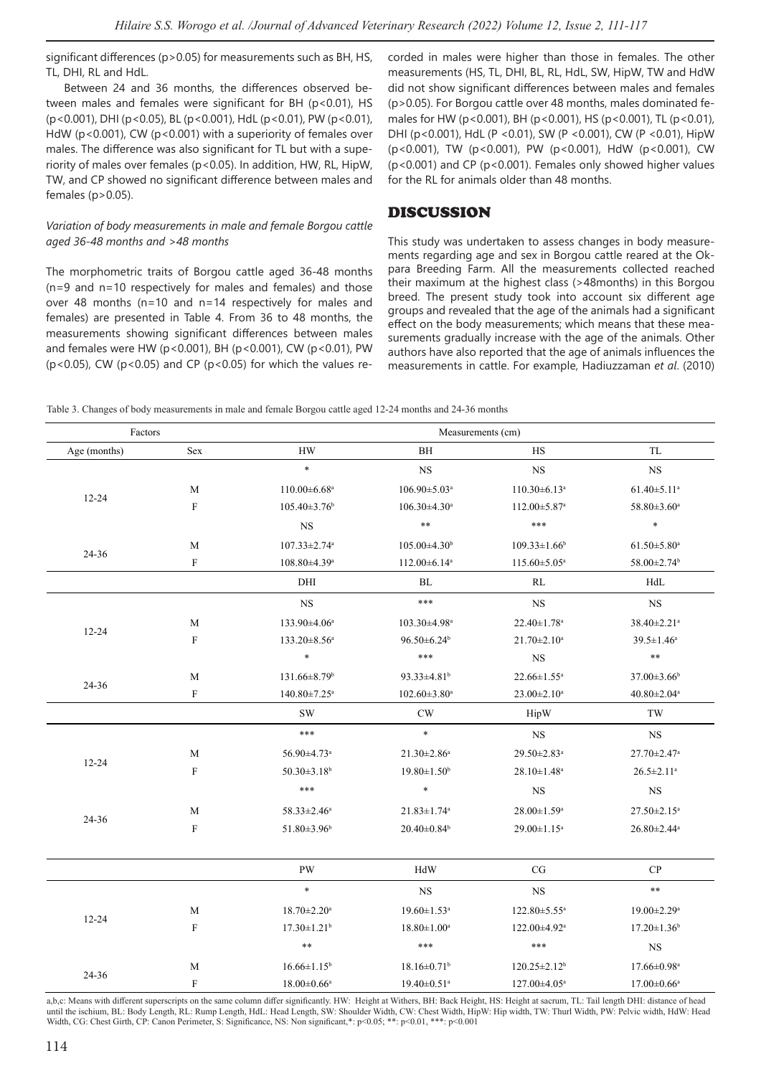significant differences (p>0.05) for measurements such as BH, HS, TL, DHI, RL and HdL.

Between 24 and 36 months, the differences observed between males and females were significant for BH (p<0.01), HS (p<0.001), DHI (p<0.05), BL (p<0.001), HdL (p<0.01), PW (p<0.01), HdW (p<0.001), CW (p<0.001) with a superiority of females over males. The difference was also significant for TL but with a superiority of males over females (p<0.05). In addition, HW, RL, HipW, TW, and CP showed no significant difference between males and females (p>0.05).

#### *Variation of body measurements in male and female Borgou cattle aged 36-48 months and >48 months*

The morphometric traits of Borgou cattle aged 36-48 months (n=9 and n=10 respectively for males and females) and those over 48 months (n=10 and n=14 respectively for males and females) are presented in Table 4. From 36 to 48 months, the measurements showing significant differences between males and females were HW (p<0.001), BH (p<0.001), CW (p<0.01), PW ( $p$ <0.05), CW ( $p$ <0.05) and CP ( $p$ <0.05) for which the values recorded in males were higher than those in females. The other measurements (HS, TL, DHI, BL, RL, HdL, SW, HipW, TW and HdW did not show significant differences between males and females (p>0.05). For Borgou cattle over 48 months, males dominated females for HW (p<0.001), BH (p<0.001), HS (p<0.001), TL (p<0.01), DHI (p<0.001), HdL (P <0.01), SW (P <0.001), CW (P <0.01), HipW (p<0.001), TW (p<0.001), PW (p<0.001), HdW (p<0.001), CW (p<0.001) and CP (p<0.001). Females only showed higher values for the RL for animals older than 48 months.

### DISCUSSION

This study was undertaken to assess changes in body measurements regarding age and sex in Borgou cattle reared at the Okpara Breeding Farm. All the measurements collected reached their maximum at the highest class (>48months) in this Borgou breed. The present study took into account six different age groups and revealed that the age of the animals had a significant effect on the body measurements; which means that these measurements gradually increase with the age of the animals. Other authors have also reported that the age of animals influences the measurements in cattle. For example, Hadiuzzaman *et al*. (2010)

Table 3. Changes of body measurements in male and female Borgou cattle aged 12-24 months and 24-36 months

| Factors      |                           | Measurements (cm)              |                                |                                |                               |  |
|--------------|---------------------------|--------------------------------|--------------------------------|--------------------------------|-------------------------------|--|
| Age (months) | Sex                       | <b>HW</b>                      | BH                             | HS                             | <b>TL</b>                     |  |
|              |                           | $\ast$                         | <b>NS</b>                      | <b>NS</b>                      | <b>NS</b>                     |  |
|              | M                         | $110.00 \pm 6.68$ <sup>a</sup> | $106.90 \pm 5.03$ <sup>a</sup> | $110.30\pm 6.13$ <sup>a</sup>  | $61.40 \pm 5.11$ <sup>a</sup> |  |
| $12 - 24$    | $\mathbf F$               | $105.40 \pm 3.76$ <sup>b</sup> | $106.30\pm4.30^a$              | $112.00 \pm 5.87$ <sup>a</sup> | 58.80±3.60 <sup>a</sup>       |  |
|              |                           | $_{\rm NS}$                    | $\ast\ast$                     | $***$                          | $\ast$                        |  |
|              | M                         | $107.33 \pm 2.74$ <sup>a</sup> | $105.00\pm4.30$ <sup>b</sup>   | $109.33 \pm 1.66$ <sup>b</sup> | $61.50 \pm 5.80^{\mathrm{a}}$ |  |
| 24-36        | $\mathbf F$               | $108.80\pm4.39^{\circ}$        | $112.00\pm 6.14^{\circ}$       | $115.60 \pm 5.05^{\mathrm{a}}$ | 58.00±2.74 <sup>b</sup>       |  |
|              |                           | DHI                            | BL                             | RL                             | HdL                           |  |
|              |                           | <b>NS</b>                      | ***                            | $_{\rm NS}$                    | <b>NS</b>                     |  |
|              | M                         | 133.90±4.06 <sup>a</sup>       | 103.30±4.98 <sup>a</sup>       | $22.40 \pm 1.78$ <sup>a</sup>  | 38.40±2.21 <sup>a</sup>       |  |
| $12 - 24$    | $\mathbf F$               | $133.20 \pm 8.56^{\circ}$      | $96.50 \pm 6.24$               | $21.70 \pm 2.10^a$             | $39.5 \pm 1.46^a$             |  |
|              |                           | $\ast$                         | $***$                          | <b>NS</b>                      | $\ast\ast$                    |  |
|              | M                         | 131.66±8.79 <sup>b</sup>       | 93.33±4.81 <sup>b</sup>        | $22.66 \pm 1.55^a$             | $37.00 \pm 3.66$ <sup>b</sup> |  |
| 24-36        | $\rm F$                   | 140.80±7.25 <sup>a</sup>       | $102.60 \pm 3.80^a$            | $23.00 \pm 2.10^a$             | $40.80 \pm 2.04$ <sup>a</sup> |  |
|              |                           | $\mathrm{SW}$                  | $\mathrm{CW}$                  | HipW                           | TW                            |  |
|              |                           | ***                            | $\ast$                         | <b>NS</b>                      | $_{\rm NS}$                   |  |
|              | М                         | 56.90±4.73 <sup>a</sup>        | 21.30±2.86 <sup>a</sup>        | 29.50±2.83 <sup>a</sup>        | $27.70 \pm 2.47$ <sup>a</sup> |  |
| $12 - 24$    | $\mathbf F$               | $50.30 \pm 3.18$ <sup>b</sup>  | $19.80 \pm 1.50^{\circ}$       | $28.10 \pm 1.48$ <sup>a</sup>  | $26.5 \pm 2.11$ <sup>a</sup>  |  |
|              |                           | $***$                          | $\ast$                         | <b>NS</b>                      | <b>NS</b>                     |  |
|              | M                         | 58.33±2.46 <sup>a</sup>        | $21.83 \pm 1.74$ <sup>a</sup>  | $28.00 \pm 1.59^{\circ}$       | 27.50±2.15 <sup>a</sup>       |  |
| 24-36        | $\boldsymbol{\mathrm{F}}$ | 51.80±3.96 <sup>b</sup>        | $20.40 \pm 0.84$ <sup>b</sup>  | 29.00±1.15 <sup>a</sup>        | 26.80±2.44 <sup>a</sup>       |  |
|              |                           | <b>PW</b>                      | HdW                            | CG                             | ${\bf CP}$                    |  |
|              |                           | $\ast$                         | <b>NS</b>                      | $_{\rm NS}$                    | $\ast\ast$                    |  |
|              | M                         | $18.70 \pm 2.20^{\mathrm{a}}$  | $19.60 \pm 1.53$ <sup>a</sup>  | $122.80 \pm 5.55^{\mathrm{a}}$ | 19.00±2.29 <sup>a</sup>       |  |
| $12 - 24$    | $\mathbf F$               | $17.30 \pm 1.21$ <sup>b</sup>  | $18.80 \pm 1.00^a$             | 122.00±4.92 <sup>a</sup>       | $17.20 \pm 1.36$ <sup>b</sup> |  |
|              |                           | $\ast\ast$                     | $***$                          | $***$                          | <b>NS</b>                     |  |
|              | M                         | $16.66 \pm 1.15^b$             | $18.16 \pm 0.71$ <sup>b</sup>  | $120.25 \pm 2.12$ <sup>b</sup> | $17.66 \pm 0.98$ <sup>a</sup> |  |
| 24-36        | $\rm F$                   | $18.00 \pm 0.66$ <sup>a</sup>  | $19.40 \pm 0.51$ <sup>a</sup>  | 127.00±4.05 <sup>a</sup>       | $17.00 \pm 0.66^{\circ}$      |  |

a,b,c: Means with different superscripts on the same column differ significantly. HW: Height at Withers, BH: Back Height, HS: Height at sacrum, TL: Tail length DHI: distance of head until the ischium, BL: Body Length, RL: Rump Length, HdL: Head Length, SW: Shoulder Width, CW: Chest Width, HipW: Hip width, TW: Thurl Width, PW: Pelvic width, HdW: Head Width, CG: Chest Girth, CP: Canon Perimeter, S: Significance, NS: Non significant,\*: p<0.05; \*\*: p<0.01, \*\*\*: p<0.001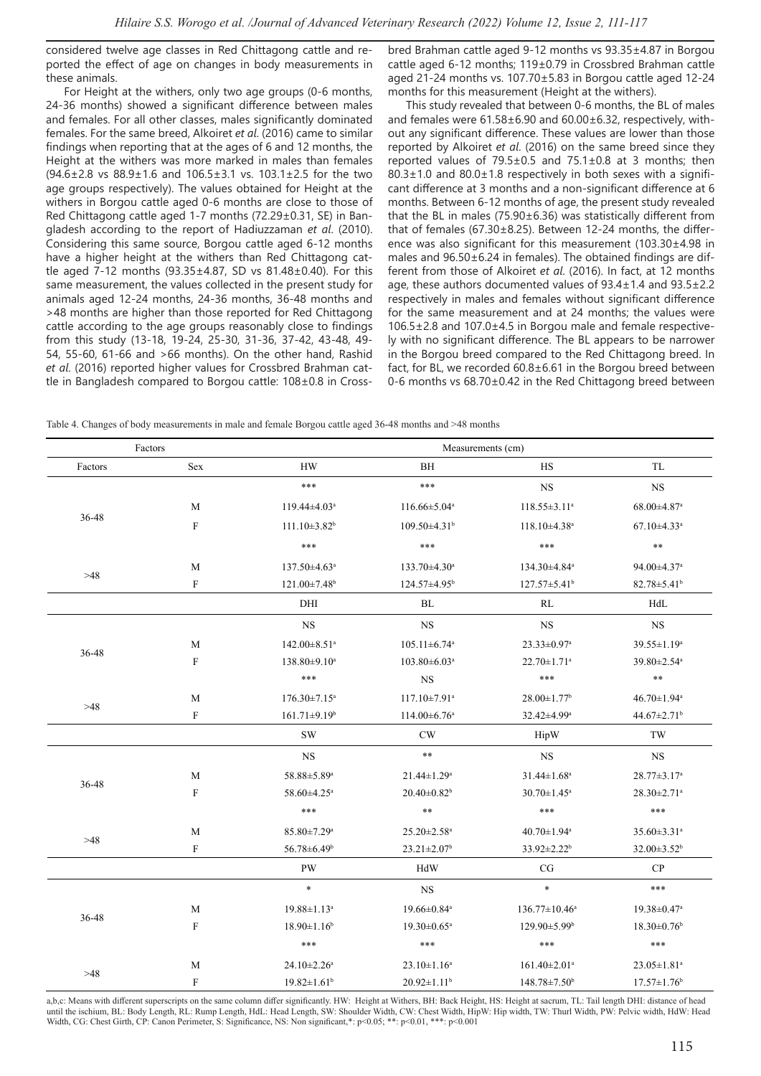considered twelve age classes in Red Chittagong cattle and reported the effect of age on changes in body measurements in these animals.

For Height at the withers, only two age groups (0-6 months, 24-36 months) showed a significant difference between males and females. For all other classes, males significantly dominated females. For the same breed, Alkoiret *et al*. (2016) came to similar findings when reporting that at the ages of 6 and 12 months, the Height at the withers was more marked in males than females (94.6±2.8 vs 88.9±1.6 and 106.5±3.1 vs. 103.1±2.5 for the two age groups respectively). The values obtained for Height at the withers in Borgou cattle aged 0-6 months are close to those of Red Chittagong cattle aged 1-7 months (72.29±0.31, SE) in Bangladesh according to the report of Hadiuzzaman *et al*. (2010). Considering this same source, Borgou cattle aged 6-12 months have a higher height at the withers than Red Chittagong cattle aged 7-12 months (93.35±4.87, SD vs 81.48±0.40). For this same measurement, the values collected in the present study for animals aged 12-24 months, 24-36 months, 36-48 months and >48 months are higher than those reported for Red Chittagong cattle according to the age groups reasonably close to findings from this study (13-18, 19-24, 25-30, 31-36, 37-42, 43-48, 49- 54, 55-60, 61-66 and >66 months). On the other hand, Rashid *et al*. (2016) reported higher values for Crossbred Brahman cattle in Bangladesh compared to Borgou cattle: 108±0.8 in Crossbred Brahman cattle aged 9-12 months vs 93.35±4.87 in Borgou cattle aged 6-12 months; 119±0.79 in Crossbred Brahman cattle aged 21-24 months vs. 107.70±5.83 in Borgou cattle aged 12-24 months for this measurement (Height at the withers).

This study revealed that between 0-6 months, the BL of males and females were 61.58±6.90 and 60.00±6.32, respectively, without any significant difference. These values are lower than those reported by Alkoiret *et al*. (2016) on the same breed since they reported values of 79.5±0.5 and 75.1±0.8 at 3 months; then 80.3±1.0 and 80.0±1.8 respectively in both sexes with a significant difference at 3 months and a non-significant difference at 6 months. Between 6-12 months of age, the present study revealed that the BL in males (75.90±6.36) was statistically different from that of females (67.30±8.25). Between 12-24 months, the difference was also significant for this measurement (103.30±4.98 in males and 96.50±6.24 in females). The obtained findings are different from those of Alkoiret *et al*. (2016). In fact, at 12 months age, these authors documented values of 93.4±1.4 and 93.5±2.2 respectively in males and females without significant difference for the same measurement and at 24 months; the values were 106.5±2.8 and 107.0±4.5 in Borgou male and female respectively with no significant difference. The BL appears to be narrower in the Borgou breed compared to the Red Chittagong breed. In fact, for BL, we recorded 60.8±6.61 in the Borgou breed between 0-6 months vs 68.70±0.42 in the Red Chittagong breed between

Table 4. Changes of body measurements in male and female Borgou cattle aged 36-48 months and >48 months

| Factors |                           | Measurements (cm)              |                                |                                |                               |  |
|---------|---------------------------|--------------------------------|--------------------------------|--------------------------------|-------------------------------|--|
| Factors | Sex                       | <b>HW</b>                      | BH                             | HS                             | <b>TL</b>                     |  |
|         |                           | ***                            | $***$                          | $_{\rm NS}$                    | $_{\rm NS}$                   |  |
|         | M                         | $119.44 \pm 4.03$ <sup>a</sup> | $116.66 \pm 5.04^a$            | $118.55 \pm 3.11^a$            | 68.00±4.87 <sup>a</sup>       |  |
| 36-48   | $\, {\bf F}$              | $111.10\pm3.82^b$              | $109.50\pm4.31$ <sup>b</sup>   | $118.10\pm4.38$ <sup>a</sup>   | $67.10\pm4.33$ <sup>a</sup>   |  |
|         |                           | $***$                          | $***$                          | ***                            | $\ast\ast$                    |  |
|         | M                         | 137.50±4.63 <sup>a</sup>       | $133.70\pm4.30^a$              | 134.30±4.84 <sup>a</sup>       | 94.00±4.37 <sup>a</sup>       |  |
| >48     | $\boldsymbol{\mathrm{F}}$ | 121.00±7.48 <sup>b</sup>       | 124.57±4.95 <sup>b</sup>       | $127.57 \pm 5.41$ <sup>b</sup> | $82.78 \pm 5.41$ <sup>b</sup> |  |
|         |                           | DHI                            | ${\rm BL}$                     | RL                             | HdL                           |  |
|         |                           | $_{\rm NS}$                    | $_{\rm NS}$                    | $_{\rm NS}$                    | $_{\rm NS}$                   |  |
|         | M                         | $142.00 \pm 8.51$ <sup>a</sup> | $105.11 \pm 6.74$ <sup>a</sup> | $23.33 \pm 0.97$ <sup>a</sup>  | $39.55 \pm 1.19^a$            |  |
| 36-48   | $\boldsymbol{\mathrm{F}}$ | 138.80±9.10 <sup>a</sup>       | $103.80 \pm 6.03$ <sup>a</sup> | $22.70 \pm 1.71$ <sup>a</sup>  | 39.80±2.54 <sup>a</sup>       |  |
|         |                           | $***$                          | $_{\rm NS}$                    | ***                            | $\ast\ast$                    |  |
|         | M                         | $176.30 \pm 7.15^{\mathrm{a}}$ | $117.10\pm7.91^{\circ}$        | $28.00 \pm 1.77$ <sup>b</sup>  | $46.70 \pm 1.94$ <sup>a</sup> |  |
| $>48$   | $\mathbf F$               | $161.71 \pm 9.19$ <sup>b</sup> | $114.00 \pm 6.76^{\circ}$      | 32.42±4.99 <sup>a</sup>        | 44.67±2.71 <sup>b</sup>       |  |
|         |                           | SW                             | CW                             | HipW                           | TW                            |  |
|         |                           | <b>NS</b>                      | $\ast\ast$                     | <b>NS</b>                      | <b>NS</b>                     |  |
|         | M                         | 58.88±5.89 <sup>a</sup>        | $21.44 \pm 1.29$ <sup>a</sup>  | $31.44 \pm 1.68$ <sup>a</sup>  | 28.77±3.17 <sup>a</sup>       |  |
| 36-48   | $\boldsymbol{\mathrm{F}}$ | $58.60 \pm 4.25$ <sup>a</sup>  | $20.40 \pm 0.82$ <sup>b</sup>  | $30.70 \pm 1.45^{\circ}$       | $28.30 \pm 2.71$ <sup>a</sup> |  |
|         |                           | ***                            | $\ast\ast$                     | ***                            | $***$                         |  |
|         | M                         | $85.80 \pm 7.29$ <sup>a</sup>  | $25.20 \pm 2.58$ <sup>a</sup>  | $40.70 \pm 1.94$ <sup>a</sup>  | 35.60±3.31 <sup>a</sup>       |  |
| >48     | $\boldsymbol{\mathrm{F}}$ | 56.78±6.49 <sup>b</sup>        | $23.21 \pm 2.07$ <sup>b</sup>  | 33.92±2.22 <sup>b</sup>        | 32.00±3.52 <sup>b</sup>       |  |
|         |                           | PW                             | HdW                            | CG                             | CP                            |  |
|         |                           | $\ast$                         | $_{\rm NS}$                    | $\ast$                         | ***                           |  |
|         | M                         | $19.88 \pm 1.13^a$             | 19.66±0.84 <sup>a</sup>        | $136.77 \pm 10.46^a$           | 19.38±0.47 <sup>a</sup>       |  |
| 36-48   | $\rm F$                   | $18.90 \pm 1.16^b$             | $19.30 \pm 0.65$ <sup>a</sup>  | $129.90 \pm 5.99$ <sup>b</sup> | $18.30 \pm 0.76$ <sup>b</sup> |  |
|         |                           | $***$                          | $***$                          | $***$                          | $***$                         |  |
|         | M                         | $24.10 \pm 2.26^{\mathrm{a}}$  | $23.10 \pm 1.16^a$             | $161.40 \pm 2.01$ <sup>a</sup> | $23.05 \pm 1.81$ <sup>a</sup> |  |
| $>48$   | $\rm F$                   | $19.82 \pm 1.61$ <sup>b</sup>  | $20.92 \pm 1.11$ <sup>b</sup>  | 148.78±7.50 <sup>b</sup>       | $17.57 \pm 1.76$ <sup>b</sup> |  |

a,b,c: Means with different superscripts on the same column differ significantly. HW: Height at Withers, BH: Back Height, HS: Height at sacrum, TL: Tail length DHI: distance of head until the ischium, BL: Body Length, RL: Rump Length, HdL: Head Length, SW: Shoulder Width, CW: Chest Width, HipW: Hip width, TW: Thurl Width, PW: Pelvic width, HdW: Head Width, CG: Chest Girth, CP: Canon Perimeter, S: Significance, NS: Non significant,\*: p<0.05; \*\*: p<0.01, \*\*\*: p<0.001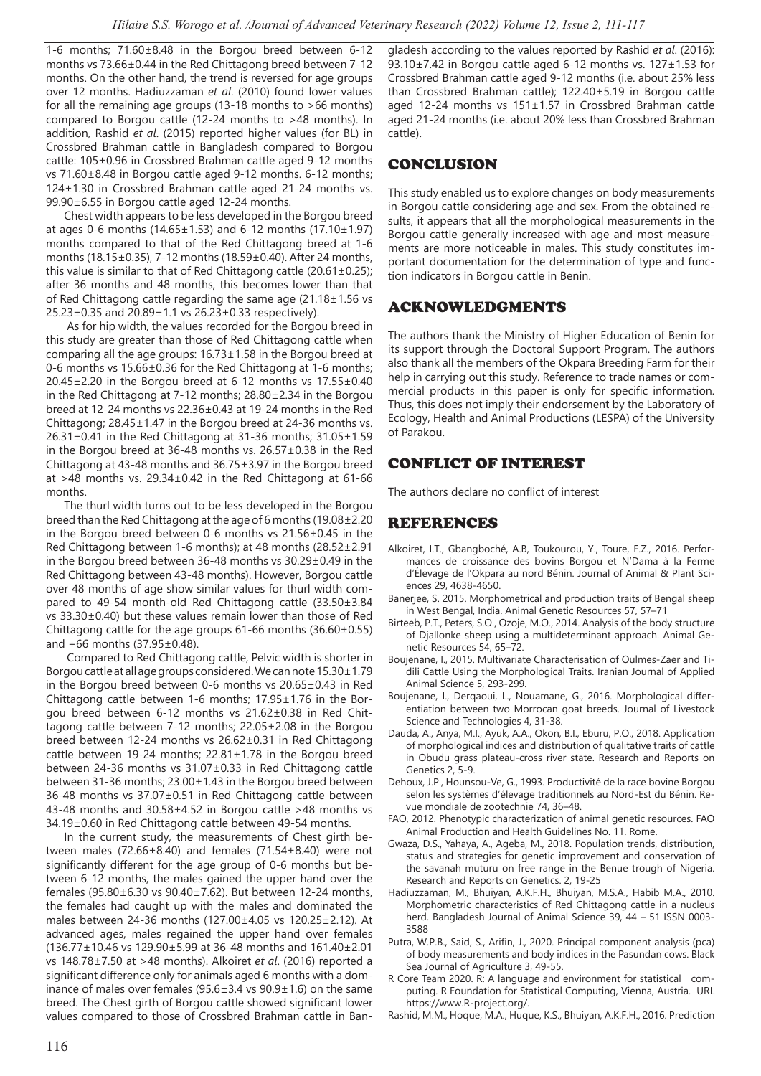1-6 months; 71.60±8.48 in the Borgou breed between 6-12 months vs 73.66±0.44 in the Red Chittagong breed between 7-12 months. On the other hand, the trend is reversed for age groups over 12 months. Hadiuzzaman *et al*. (2010) found lower values for all the remaining age groups (13-18 months to >66 months) compared to Borgou cattle (12-24 months to >48 months). In addition, Rashid *et al*. (2015) reported higher values (for BL) in Crossbred Brahman cattle in Bangladesh compared to Borgou cattle: 105±0.96 in Crossbred Brahman cattle aged 9-12 months vs 71.60±8.48 in Borgou cattle aged 9-12 months. 6-12 months; 124±1.30 in Crossbred Brahman cattle aged 21-24 months vs. 99.90±6.55 in Borgou cattle aged 12-24 months.

Chest width appears to be less developed in the Borgou breed at ages 0-6 months (14.65±1.53) and 6-12 months (17.10±1.97) months compared to that of the Red Chittagong breed at 1-6 months (18.15±0.35), 7-12 months (18.59±0.40). After 24 months, this value is similar to that of Red Chittagong cattle (20.61±0.25); after 36 months and 48 months, this becomes lower than that of Red Chittagong cattle regarding the same age (21.18±1.56 vs 25.23±0.35 and 20.89±1.1 vs 26.23±0.33 respectively).

 As for hip width, the values recorded for the Borgou breed in this study are greater than those of Red Chittagong cattle when comparing all the age groups: 16.73±1.58 in the Borgou breed at 0-6 months vs 15.66±0.36 for the Red Chittagong at 1-6 months; 20.45±2.20 in the Borgou breed at 6-12 months vs 17.55±0.40 in the Red Chittagong at 7-12 months; 28.80±2.34 in the Borgou breed at 12-24 months vs 22.36±0.43 at 19-24 months in the Red Chittagong; 28.45±1.47 in the Borgou breed at 24-36 months vs. 26.31±0.41 in the Red Chittagong at 31-36 months; 31.05±1.59 in the Borgou breed at 36-48 months vs. 26.57±0.38 in the Red Chittagong at 43-48 months and 36.75±3.97 in the Borgou breed at >48 months vs. 29.34±0.42 in the Red Chittagong at 61-66 months.

The thurl width turns out to be less developed in the Borgou breed than the Red Chittagong at the age of 6 months (19.08±2.20 in the Borgou breed between 0-6 months vs 21.56±0.45 in the Red Chittagong between 1-6 months); at 48 months (28.52±2.91 in the Borgou breed between 36-48 months vs 30.29±0.49 in the Red Chittagong between 43-48 months). However, Borgou cattle over 48 months of age show similar values for thurl width compared to 49-54 month-old Red Chittagong cattle (33.50±3.84 vs 33.30±0.40) but these values remain lower than those of Red Chittagong cattle for the age groups 61-66 months (36.60±0.55) and +66 months (37.95±0.48).

 Compared to Red Chittagong cattle, Pelvic width is shorter in Borgou cattle at all age groups considered. We can note 15.30±1.79 in the Borgou breed between 0-6 months vs 20.65±0.43 in Red Chittagong cattle between 1-6 months; 17.95±1.76 in the Borgou breed between 6-12 months vs 21.62±0.38 in Red Chittagong cattle between 7-12 months; 22.05±2.08 in the Borgou breed between 12-24 months vs 26.62±0.31 in Red Chittagong cattle between 19-24 months; 22.81±1.78 in the Borgou breed between 24-36 months vs 31.07±0.33 in Red Chittagong cattle between 31-36 months; 23.00±1.43 in the Borgou breed between 36-48 months vs 37.07±0.51 in Red Chittagong cattle between 43-48 months and 30.58±4.52 in Borgou cattle >48 months vs 34.19±0.60 in Red Chittagong cattle between 49-54 months.

In the current study, the measurements of Chest girth between males (72.66 $\pm$ 8.40) and females (71.54 $\pm$ 8.40) were not significantly different for the age group of 0-6 months but between 6-12 months, the males gained the upper hand over the females (95.80±6.30 vs 90.40±7.62). But between 12-24 months, the females had caught up with the males and dominated the males between 24-36 months (127.00±4.05 vs 120.25±2.12). At advanced ages, males regained the upper hand over females (136.77±10.46 vs 129.90±5.99 at 36-48 months and 161.40±2.01 vs 148.78±7.50 at >48 months). Alkoiret *et al*. (2016) reported a significant difference only for animals aged 6 months with a dominance of males over females (95.6±3.4 vs 90.9±1.6) on the same breed. The Chest girth of Borgou cattle showed significant lower values compared to those of Crossbred Brahman cattle in Bangladesh according to the values reported by Rashid *et al*. (2016): 93.10±7.42 in Borgou cattle aged 6-12 months vs. 127±1.53 for Crossbred Brahman cattle aged 9-12 months (i.e. about 25% less than Crossbred Brahman cattle); 122.40±5.19 in Borgou cattle aged 12-24 months vs 151±1.57 in Crossbred Brahman cattle aged 21-24 months (i.e. about 20% less than Crossbred Brahman cattle).

# CONCLUSION

This study enabled us to explore changes on body measurements in Borgou cattle considering age and sex. From the obtained results, it appears that all the morphological measurements in the Borgou cattle generally increased with age and most measurements are more noticeable in males. This study constitutes important documentation for the determination of type and function indicators in Borgou cattle in Benin.

# ACKNOWLEDGMENTS

The authors thank the Ministry of Higher Education of Benin for its support through the Doctoral Support Program. The authors also thank all the members of the Okpara Breeding Farm for their help in carrying out this study. Reference to trade names or commercial products in this paper is only for specific information. Thus, this does not imply their endorsement by the Laboratory of Ecology, Health and Animal Productions (LESPA) of the University of Parakou.

# CONFLICT OF INTEREST

The authors declare no conflict of interest

# REFERENCES

- Alkoiret, I.T., Gbangboché, A.B, Toukourou, Y., Toure, F.Z., 2016. Performances de croissance des bovins Borgou et N'Dama à la Ferme d'Élevage de l'Okpara au nord Bénin. Journal of Animal & Plant Sciences 29, 4638-4650.
- Banerjee, S. 2015. Morphometrical and production traits of Bengal sheep in West Bengal, India. Animal Genetic Resources 57, 57–71
- Birteeb, P.T., Peters, S.O., Ozoje, M.O., 2014. Analysis of the body structure of Djallonke sheep using a multideterminant approach. Animal Genetic Resources 54, 65–72.
- Boujenane, I., 2015. Multivariate Characterisation of Oulmes-Zaer and Tidili Cattle Using the Morphological Traits. Iranian Journal of Applied Animal Science 5, 293-299.
- Boujenane, I., Derqaoui, L., Nouamane, G., 2016. Morphological differentiation between two Morrocan goat breeds. Journal of Livestock Science and Technologies 4, 31-38.
- Dauda, A., Anya, M.I., Ayuk, A.A., Okon, B.I., Eburu, P.O., 2018. Application of morphological indices and distribution of qualitative traits of cattle in Obudu grass plateau-cross river state. Research and Reports on Genetics 2, 5-9.
- Dehoux, J.P., Hounsou-Ve, G., 1993. Productivité de la race bovine Borgou selon les systèmes d'élevage traditionnels au Nord-Est du Bénin. Revue mondiale de zootechnie 74, 36–48.
- FAO, 2012. Phenotypic characterization of animal genetic resources. FAO Animal Production and Health Guidelines No. 11. Rome.
- Gwaza, D.S., Yahaya, A., Ageba, M., 2018. Population trends, distribution, status and strategies for genetic improvement and conservation of the savanah muturu on free range in the Benue trough of Nigeria. Research and Reports on Genetics. 2, 19-25
- Hadiuzzaman, M., Bhuiyan, A.K.F.H., Bhuiyan, M.S.A., Habib M.A., 2010. Morphometric characteristics of Red Chittagong cattle in a nucleus herd. Bangladesh Journal of Animal Science 39, 44 – 51 ISSN 0003- 3588
- Putra, W.P.B., Said, S., Arifin, J., 2020. Principal component analysis (pca) of body measurements and body indices in the Pasundan cows. Black Sea Journal of Agriculture 3, 49-55.
- R Core Team 2020. R: A language and environment for statistical computing. R Foundation for Statistical Computing, Vienna, Austria. URL https://www.R-project.org/.
- Rashid, M.M., Hoque, M.A., Huque, K.S., Bhuiyan, A.K.F.H., 2016. Prediction